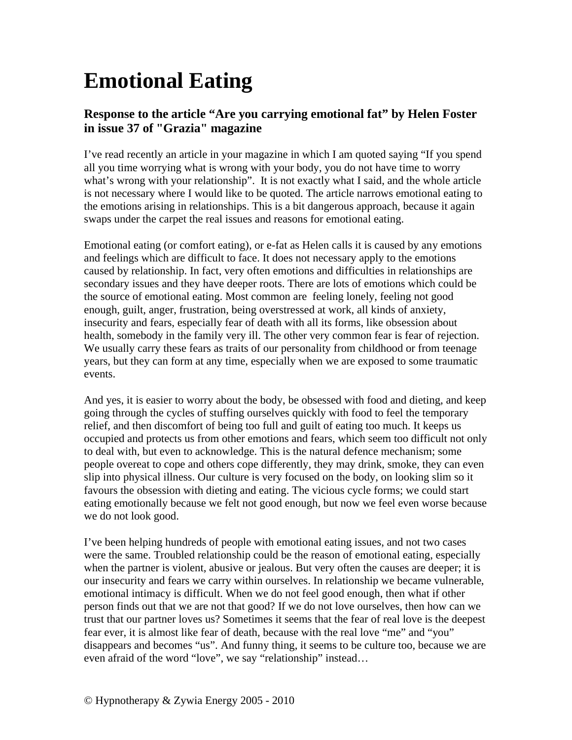## **Emotional Eating**

## **Response to the article "Are you carrying emotional fat" by Helen Foster in issue 37 of "Grazia" magazine**

I've read recently an article in your magazine in which I am quoted saying "If you spend all you time worrying what is wrong with your body, you do not have time to worry what's wrong with your relationship". It is not exactly what I said, and the whole article is not necessary where I would like to be quoted. The article narrows emotional eating to the emotions arising in relationships. This is a bit dangerous approach, because it again swaps under the carpet the real issues and reasons for emotional eating.

Emotional eating (or comfort eating), or e-fat as Helen calls it is caused by any emotions and feelings which are difficult to face. It does not necessary apply to the emotions caused by relationship. In fact, very often emotions and difficulties in relationships are secondary issues and they have deeper roots. There are lots of emotions which could be the source of emotional eating. Most common are feeling lonely, feeling not good enough, guilt, anger, frustration, being overstressed at work, all kinds of anxiety, insecurity and fears, especially fear of death with all its forms, like obsession about health, somebody in the family very ill. The other very common fear is fear of rejection. We usually carry these fears as traits of our personality from childhood or from teenage years, but they can form at any time, especially when we are exposed to some traumatic events.

And yes, it is easier to worry about the body, be obsessed with food and dieting, and keep going through the cycles of stuffing ourselves quickly with food to feel the temporary relief, and then discomfort of being too full and guilt of eating too much. It keeps us occupied and protects us from other emotions and fears, which seem too difficult not only to deal with, but even to acknowledge. This is the natural defence mechanism; some people overeat to cope and others cope differently, they may drink, smoke, they can even slip into physical illness. Our culture is very focused on the body, on looking slim so it favours the obsession with dieting and eating. The vicious cycle forms; we could start eating emotionally because we felt not good enough, but now we feel even worse because we do not look good.

I've been helping hundreds of people with emotional eating issues, and not two cases were the same. Troubled relationship could be the reason of emotional eating, especially when the partner is violent, abusive or jealous. But very often the causes are deeper; it is our insecurity and fears we carry within ourselves. In relationship we became vulnerable, emotional intimacy is difficult. When we do not feel good enough, then what if other person finds out that we are not that good? If we do not love ourselves, then how can we trust that our partner loves us? Sometimes it seems that the fear of real love is the deepest fear ever, it is almost like fear of death, because with the real love "me" and "you" disappears and becomes "us". And funny thing, it seems to be culture too, because we are even afraid of the word "love", we say "relationship" instead…